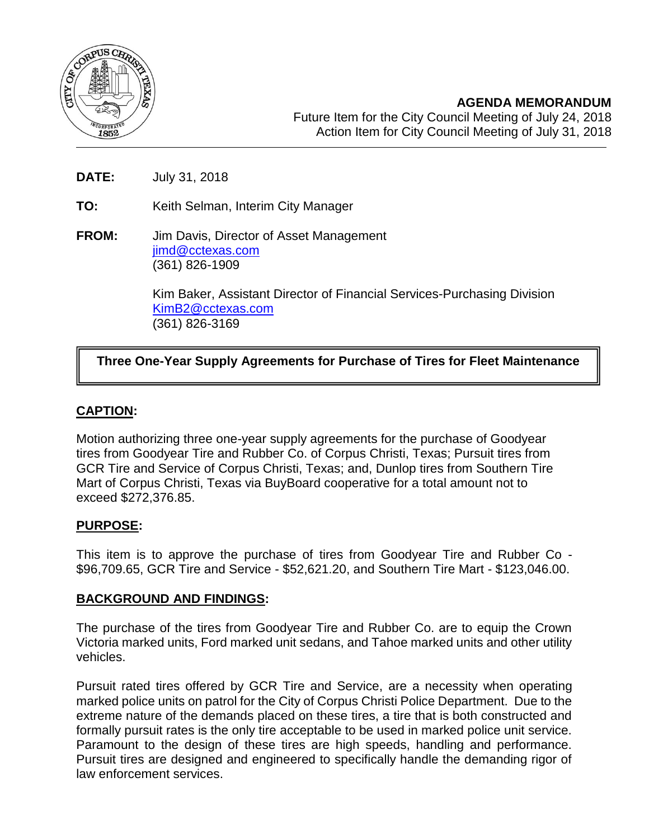

- **DATE:** July 31, 2018
- **TO:** Keith Selman, Interim City Manager
- **FROM:** Jim Davis, Director of Asset Management [jimd@cctexas.com](mailto:jimd@cctexas.com) (361) 826-1909

Kim Baker, Assistant Director of Financial Services-Purchasing Division [KimB2@cctexas.com](mailto:KimB2@cctexas.com) (361) 826-3169

# **Three One-Year Supply Agreements for Purchase of Tires for Fleet Maintenance**

# **CAPTION:**

Ī

Motion authorizing three one-year supply agreements for the purchase of Goodyear tires from Goodyear Tire and Rubber Co. of Corpus Christi, Texas; Pursuit tires from GCR Tire and Service of Corpus Christi, Texas; and, Dunlop tires from Southern Tire Mart of Corpus Christi, Texas via BuyBoard cooperative for a total amount not to exceed \$272,376.85.

### **PURPOSE:**

This item is to approve the purchase of tires from Goodyear Tire and Rubber Co - \$96,709.65, GCR Tire and Service - \$52,621.20, and Southern Tire Mart - \$123,046.00.

# **BACKGROUND AND FINDINGS:**

The purchase of the tires from Goodyear Tire and Rubber Co. are to equip the Crown Victoria marked units, Ford marked unit sedans, and Tahoe marked units and other utility vehicles.

Pursuit rated tires offered by GCR Tire and Service, are a necessity when operating marked police units on patrol for the City of Corpus Christi Police Department. Due to the extreme nature of the demands placed on these tires, a tire that is both constructed and formally pursuit rates is the only tire acceptable to be used in marked police unit service. Paramount to the design of these tires are high speeds, handling and performance. Pursuit tires are designed and engineered to specifically handle the demanding rigor of law enforcement services.